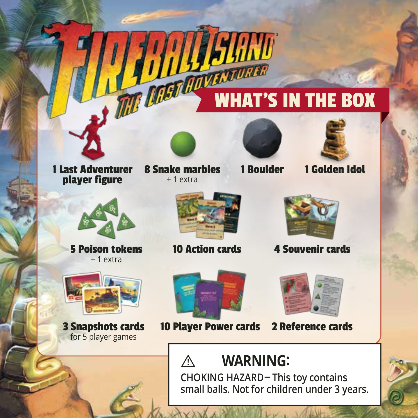# WHAT'S IN THE BOX



1 Last Adventurer player figure

8 Snake marbles

+ 1 extra



HAND

1 Boulder



1 Golden Idol



+ 1 extra





5 Poison tokens 10 Action cards 4 Souvenir cards



3 Snapshots cards for 5 player games



10 Player Power cards

**!**



2 Reference cards

# **WARNING:**

**CHOKING HAZARD-This toy contains small balls. Not for children under 3 years.**

 $\mathcal{P}$  and  $\mathcal{P}$